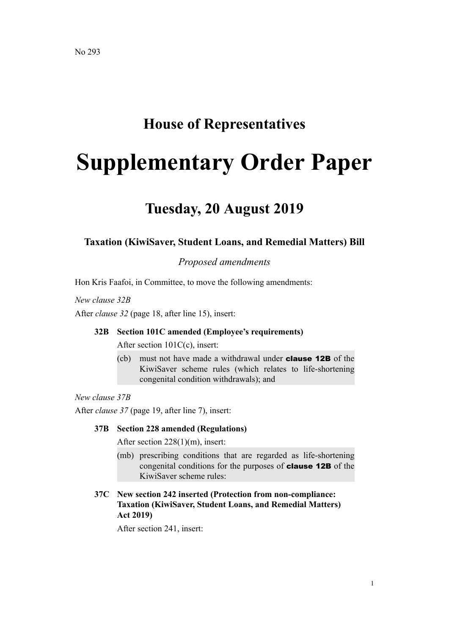# **House of Representatives**

# **Supplementary Order Paper**

# **Tuesday, 20 August 2019**

# **Taxation (KiwiSaver, Student Loans, and Remedial Matters) Bill**

*Proposed amendments*

Hon Kris Faafoi, in Committee, to move the following amendments:

*New clause 32B*

After *clause 32* (page 18, after line 15), insert:

#### **32B Section 101C amended (Employee's requirements)**

After section 101C(c), insert:

(cb) must not have made a withdrawal under clause 12B of the KiwiSaver scheme rules (which relates to life-shortening congenital condition withdrawals); and

*New clause 37B*

After *clause 37* (page 19, after line 7), insert:

# **37B Section 228 amended (Regulations)**

After section 228(1)(m), insert:

- (mb) prescribing conditions that are regarded as life-shortening congenital conditions for the purposes of clause 12B of the KiwiSaver scheme rules:
- **37C New section 242 inserted (Protection from non-compliance: Taxation (KiwiSaver, Student Loans, and Remedial Matters) Act 2019)**

After section 241, insert: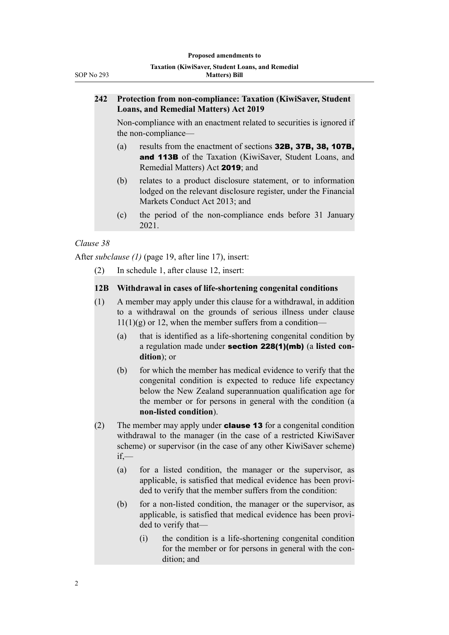# **242 Protection from non-compliance: Taxation (KiwiSaver, Student Loans, and Remedial Matters) Act 2019**

Non-compliance with an enactment related to securities is ignored if the non-compliance—

- (a) results from the enactment of sections 32B, 37B, 38, 107B, and 113B of the Taxation (KiwiSaver, Student Loans, and Remedial Matters) Act 2019; and
- (b) relates to a product disclosure statement, or to information lodged on the relevant disclosure register, under the Financial Markets Conduct Act 2013; and
- (c) the period of the non-compliance ends before 31 January 2021.

# *Clause 38*

After *subclause (1)* (page 19, after line 17), insert:

(2) In schedule 1, after clause 12, insert:

# **12B Withdrawal in cases of life-shortening congenital conditions**

- (1) A member may apply under this clause for a withdrawal, in addition to a withdrawal on the grounds of serious illness under clause  $11(1)(g)$  or 12, when the member suffers from a condition—
	- (a) that is identified as a life-shortening congenital condition by a regulation made under section 228(1)(mb) (a **listed condition**); or
	- (b) for which the member has medical evidence to verify that the congenital condition is expected to reduce life expectancy below the New Zealand superannuation qualification age for the member or for persons in general with the condition (a **non-listed condition**).
- (2) The member may apply under **clause 13** for a congenital condition withdrawal to the manager (in the case of a restricted KiwiSaver scheme) or supervisor (in the case of any other KiwiSaver scheme) if,—
	- (a) for a listed condition, the manager or the supervisor, as applicable, is satisfied that medical evidence has been provided to verify that the member suffers from the condition:
	- (b) for a non-listed condition, the manager or the supervisor, as applicable, is satisfied that medical evidence has been provided to verify that—
		- (i) the condition is a life-shortening congenital condition for the member or for persons in general with the condition; and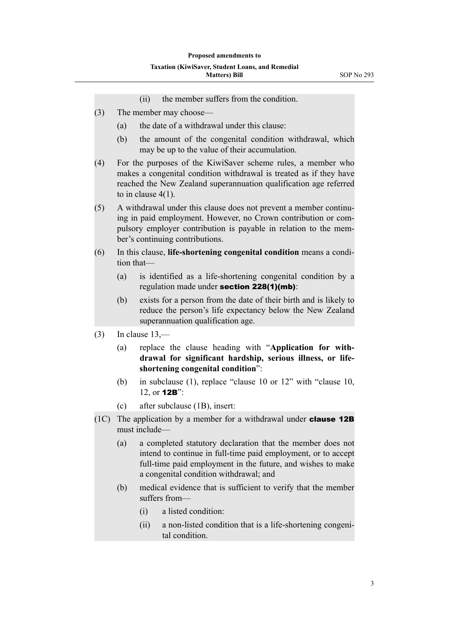- (ii) the member suffers from the condition.
- (3) The member may choose—
	- (a) the date of a withdrawal under this clause:
	- (b) the amount of the congenital condition withdrawal, which may be up to the value of their accumulation.
- (4) For the purposes of the KiwiSaver scheme rules, a member who makes a congenital condition withdrawal is treated as if they have reached the New Zealand superannuation qualification age referred to in clause 4(1).
- (5) A withdrawal under this clause does not prevent a member continuing in paid employment. However, no Crown contribution or compulsory employer contribution is payable in relation to the member's continuing contributions.
- (6) In this clause, **life-shortening congenital condition** means a condition that—
	- (a) is identified as a life-shortening congenital condition by a regulation made under section 228(1)(mb):
	- (b) exists for a person from the date of their birth and is likely to reduce the person's life expectancy below the New Zealand superannuation qualification age.
- $(3)$  In clause  $13$ ,—
	- (a) replace the clause heading with "**Application for withdrawal for significant hardship, serious illness, or lifeshortening congenital condition**":
	- (b) in subclause (1), replace "clause 10 or 12" with "clause 10, 12, or 12B":
	- (c) after subclause (1B), insert:
- (1C) The application by a member for a withdrawal under **clause 12B** must include—
	- (a) a completed statutory declaration that the member does not intend to continue in full-time paid employment, or to accept full-time paid employment in the future, and wishes to make a congenital condition withdrawal; and
	- (b) medical evidence that is sufficient to verify that the member suffers from—
		- (i) a listed condition:
		- (ii) a non-listed condition that is a life-shortening congenital condition.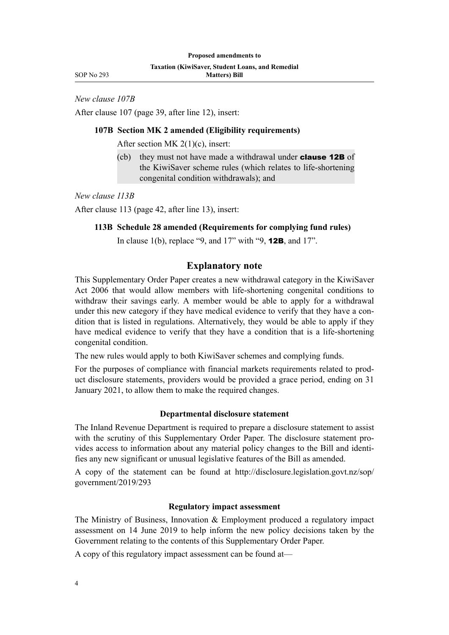SOP No 293

*New clause 107B*

After clause 107 (page 39, after line 12), insert:

## **107B Section MK 2 amended (Eligibility requirements)**

After section MK 2(1)(c), insert:

(cb) they must not have made a withdrawal under **clause 12B** of the KiwiSaver scheme rules (which relates to life-shortening congenital condition withdrawals); and

*New clause 113B*

After clause 113 (page 42, after line 13), insert:

#### **113B Schedule 28 amended (Requirements for complying fund rules)**

In clause 1(b), replace "9, and  $17$ " with "9, **12B**, and  $17$ ".

# **Explanatory note**

This Supplementary Order Paper creates a new withdrawal category in the KiwiSaver Act 2006 that would allow members with life-shortening congenital conditions to withdraw their savings early. A member would be able to apply for a withdrawal under this new category if they have medical evidence to verify that they have a condition that is listed in regulations. Alternatively, they would be able to apply if they have medical evidence to verify that they have a condition that is a life-shortening congenital condition.

The new rules would apply to both KiwiSaver schemes and complying funds.

For the purposes of compliance with financial markets requirements related to product disclosure statements, providers would be provided a grace period, ending on 31 January 2021, to allow them to make the required changes.

#### **Departmental disclosure statement**

The Inland Revenue Department is required to prepare a disclosure statement to assist with the scrutiny of this Supplementary Order Paper. The disclosure statement provides access to information about any material policy changes to the Bill and identifies any new significant or unusual legislative features of the Bill as amended.

A copy of the statement can be found at [http://disclosure.legislation.govt.nz/sop/](http://disclosure.legislation.govt.nz/sop/government/2019/293) [government/2019/293](http://disclosure.legislation.govt.nz/sop/government/2019/293)

## **Regulatory impact assessment**

The Ministry of Business, Innovation & Employment produced a regulatory impact assessment on 14 June 2019 to help inform the new policy decisions taken by the Government relating to the contents of this Supplementary Order Paper.

A copy of this regulatory impact assessment can be found at—